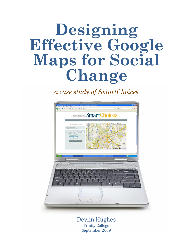## **Designing Effective Google Maps for Social Change**

*a case study of SmartChoices*



Devlin Hughes Trinity College September 2009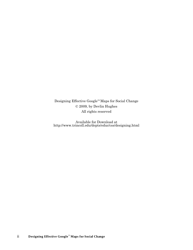Designing Effective Google™ Maps for Social Change © 2009, by Devlin Hughes All rights reserved

Available for Download at http://www.trincoll.edu/depts/educ/css/designing.html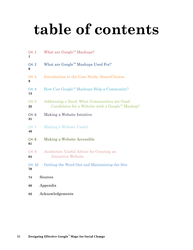# **table of contents**

| CH. 1<br>1         | What are Google™ Mashups?                                                                       |
|--------------------|-------------------------------------------------------------------------------------------------|
| <b>CH. 2</b><br>6  | What are Google™ Mashups Used For?                                                              |
| <b>CH.3</b><br>9   | Introduction to the Case Study: SmartChoices                                                    |
| <b>CH.4</b><br>13  | How Can Google™ Mashups Help a Community?                                                       |
| <b>CH.5</b><br>25  | Addressing a Need: What Communities are Good<br>Candidates for a Website with a Google™ Mashup? |
| CH. 6<br>31        | Making a Website Intuitive                                                                      |
| <b>CH.7</b><br>46  | Making a Website Useful                                                                         |
| <b>CH. 8</b><br>61 | Making a Website Accessible                                                                     |
| <b>CH. 9</b><br>64 | Aesthetics: Useful Advice for Creating an<br><b>Attractive Website</b>                          |
| CH. 10<br>70       | Getting the Word Out and Maintaining the Site                                                   |
| 74                 | Sources                                                                                         |
| 80                 | Appendix                                                                                        |
| 82                 | Acknowledgements                                                                                |